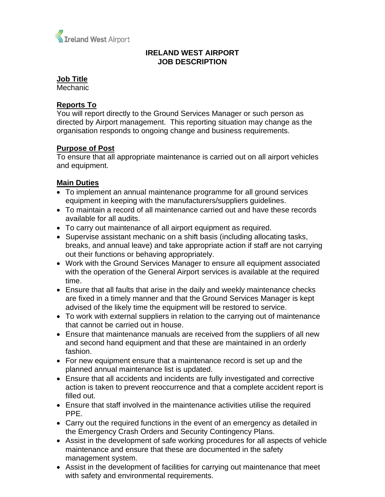

## **IRELAND WEST AIRPORT JOB DESCRIPTION**

#### **Job Title**

Mechanic

## **Reports To**

You will report directly to the Ground Services Manager or such person as directed by Airport management. This reporting situation may change as the organisation responds to ongoing change and business requirements.

#### **Purpose of Post**

To ensure that all appropriate maintenance is carried out on all airport vehicles and equipment.

## **Main Duties**

- To implement an annual maintenance programme for all ground services equipment in keeping with the manufacturers/suppliers guidelines.
- To maintain a record of all maintenance carried out and have these records available for all audits.
- To carry out maintenance of all airport equipment as required.
- Supervise assistant mechanic on a shift basis (including allocating tasks, breaks, and annual leave) and take appropriate action if staff are not carrying out their functions or behaving appropriately.
- Work with the Ground Services Manager to ensure all equipment associated with the operation of the General Airport services is available at the required time.
- Ensure that all faults that arise in the daily and weekly maintenance checks are fixed in a timely manner and that the Ground Services Manager is kept advised of the likely time the equipment will be restored to service.
- To work with external suppliers in relation to the carrying out of maintenance that cannot be carried out in house.
- Ensure that maintenance manuals are received from the suppliers of all new and second hand equipment and that these are maintained in an orderly fashion.
- For new equipment ensure that a maintenance record is set up and the planned annual maintenance list is updated.
- Ensure that all accidents and incidents are fully investigated and corrective action is taken to prevent reoccurrence and that a complete accident report is filled out.
- Ensure that staff involved in the maintenance activities utilise the required PPE.
- Carry out the required functions in the event of an emergency as detailed in the Emergency Crash Orders and Security Contingency Plans.
- Assist in the development of safe working procedures for all aspects of vehicle maintenance and ensure that these are documented in the safety management system.
- Assist in the development of facilities for carrying out maintenance that meet with safety and environmental requirements.